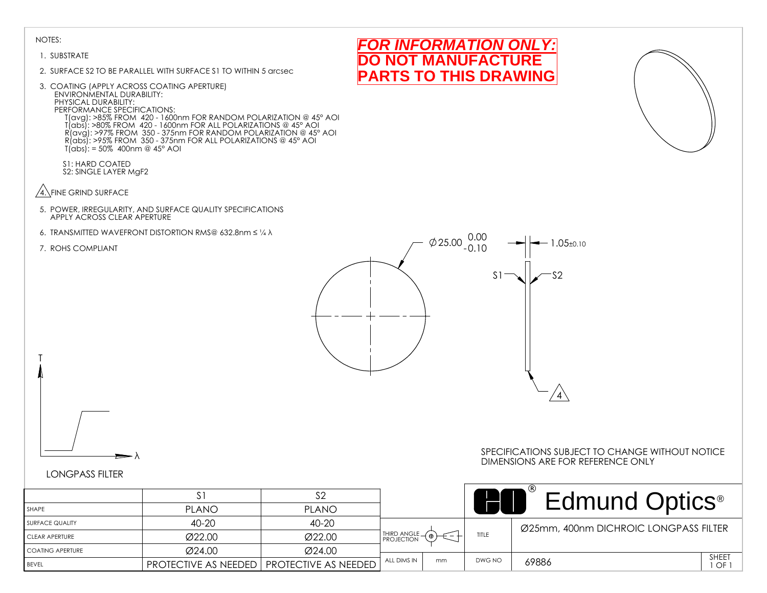#### 1. SUBSTRATE

- 2. SURFACE S2 TO BE PARALLEL WITH SURFACE S1 TO WITHIN 5 arcsec
- 3. COATING (APPLY ACROSS COATING APERTURE) ENVIRONMENTAL DURABILITY: PHYSICAL DURABILITY: PERFORMANCE SPECIFICATIONS: T(avg): >85% FROM 420 - 1600nm FOR RANDOM POLARIZATION @ 45° AOI T(abs): >80% FROM 420 - 1600nm FOR ALL POLARIZATIONS @ 45° AOI R(avg): >97% FROM 350 - 375nm FOR RANDOM POLARIZATION @ 45° AOI R(abs): >95% FROM 350 - 375nm FOR ALL POLARIZATIONS @ 45° AOI T(abs): = 50% 400nm @ 45° AOI
	- S1: HARD COATED S2: SINGLE LAYER MgF2
- $\sqrt{4}$ . FINE GRIND SURFACE
- 5. POWER, IRREGULARITY, AND SURFACE QUALITY SPECIFICATIONS APPLY ACROSS CLEAR APERTURE
- 6. TRANSMITTED WAVEFRONT DISTORTION RMS@ 632.8nm ≤ ¼ λ
- 7. ROHS COMPLIANT

T







# LONGPASS FILTER

λ

|                         |              | ິດ                                                   |               |    |              | <b>Edmund Optics</b> <sup>®</sup>     |                |
|-------------------------|--------------|------------------------------------------------------|---------------|----|--------------|---------------------------------------|----------------|
| SHAPE                   | <b>PLANO</b> | <b>PLANO</b>                                         |               |    |              |                                       |                |
| <b>SURFACE QUALITY</b>  | $40 - 20$    | 40-20                                                |               |    |              | Ø25mm, 400nm DICHROIC LONGPASS FILTER |                |
| <b>CLEAR APERTURE</b>   | Ø22.00       | Ø22.00                                               | THIRD ANGLE ( |    | <b>TITLE</b> |                                       |                |
| <b>COATING APERTURE</b> | Ø24.00       | Ø24.00                                               |               |    |              |                                       |                |
| <b>BEVEL</b>            |              | <b>PROTECTIVE AS NEEDED   PROTECTIVE AS NEEDED  </b> | ALL DIMS IN   | mm | DWG NO       | 69886                                 | SHEET<br>∟OF 1 |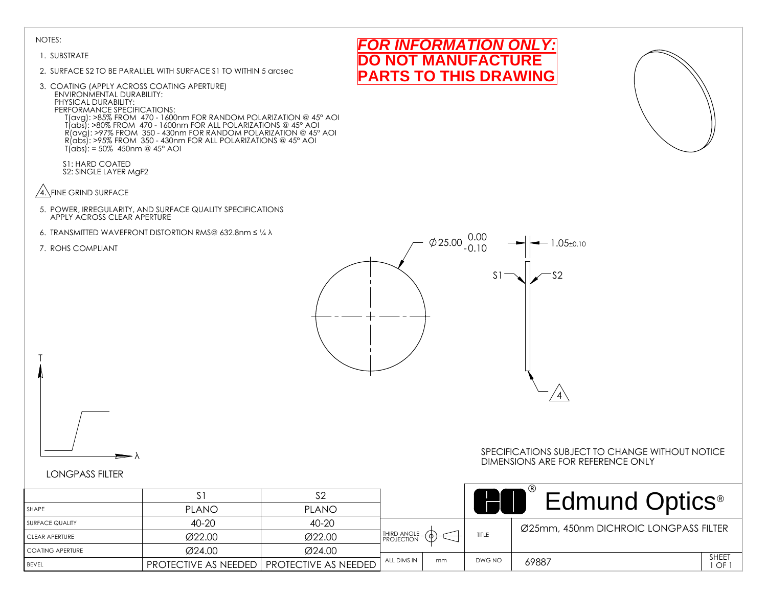#### 1. SUBSTRATE

- 2. SURFACE S2 TO BE PARALLEL WITH SURFACE S1 TO WITHIN 5 arcsec
- 3. COATING (APPLY ACROSS COATING APERTURE) ENVIRONMENTAL DURABILITY: PHYSICAL DURABILITY: PERFORMANCE SPECIFICATIONS: T(avg): >85% FROM 470 - 1600nm FOR RANDOM POLARIZATION @ 45° AOI T(abs): >80% FROM 470 - 1600nm FOR ALL POLARIZATIONS @ 45° AOI R(avg): >97% FROM 350 - 430nm FOR RANDOM POLARIZATION @ 45° AOI R(abs): >95% FROM 350 - 430nm FOR ALL POLARIZATIONS @ 45° AOI  $T(abs)$ : = 50% 450nm @ 45° AOI
	- S1: HARD COATED S2: SINGLE LAYER MgF2
- $\sqrt{4}$ . FINE GRIND SURFACE
- 5. POWER, IRREGULARITY, AND SURFACE QUALITY SPECIFICATIONS APPLY ACROSS CLEAR APERTURE
- 6. TRANSMITTED WAVEFRONT DISTORTION RMS@ 632.8nm ≤ ¼ λ
- 7. ROHS COMPLIANT

T







# LONGPASS FILTER

λ

|                         |                                                    |              |             |    |        | <b>Edmund Optics</b> <sup>®</sup>     |              |
|-------------------------|----------------------------------------------------|--------------|-------------|----|--------|---------------------------------------|--------------|
| SHAPE                   | <b>PLANO</b>                                       | <b>PLANO</b> |             |    |        |                                       |              |
| <b>SURFACE QUALITY</b>  | 40-20                                              | 40-20        |             |    |        | Ø25mm, 450nm DICHROIC LONGPASS FILTER |              |
| <b>CLEAR APERTURE</b>   | Ø22.00                                             | Ø22.00       | THIRD ANGLE |    | TITLE  |                                       |              |
| <b>COATING APERTURE</b> | Ø24.00                                             | Ø24.00       |             |    |        |                                       |              |
| BEVEL                   | <b>PROTECTIVE AS NEEDED   PROTECTIVE AS NEEDED</b> |              | ALL DIMS IN | mm | DWG NO | 69887                                 | SHEET<br>OF. |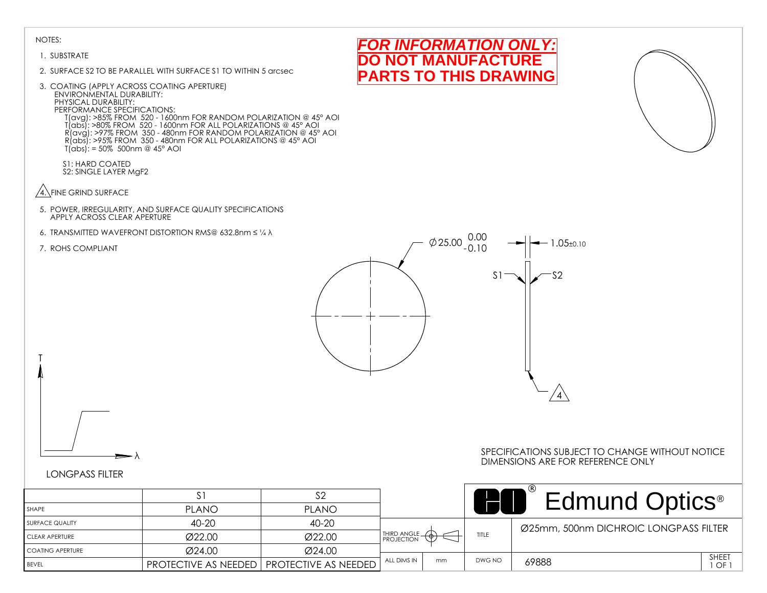### 1. SUBSTRATE

- 2. SURFACE S2 TO BE PARALLEL WITH SURFACE S1 TO WITHIN 5 arcsec
- 3. COATING (APPLY ACROSS COATING APERTURE) ENVIRONMENTAL DURABILITY: PHYSICAL DURABILITY: PERFORMANCE SPECIFICATIONS: T(avg): >85% FROM 520 - 1600nm FOR RANDOM POLARIZATION @ 45° AOI T(abs): >80% FROM 520 - 1600nm FOR ALL POLARIZATIONS @ 45° AOI R(avg): >97% FROM 350 - 480nm FOR RANDOM POLARIZATION @ 45° AOI R(abs): >95% FROM 350 - 480nm FOR ALL POLARIZATIONS @ 45° AOI  $T(abs)$ : = 50% 500nm @ 45° AOI

S1: HARD COATED S2: SINGLE LAYER MgF2

- $\sqrt{4}$ . FINE GRIND SURFACE
- 5. POWER, IRREGULARITY, AND SURFACE QUALITY SPECIFICATIONS APPLY ACROSS CLEAR APERTURE
- 6. TRANSMITTED WAVEFRONT DISTORTION RMS@ 632.8nm ≤ ¼ λ
- 7. ROHS COMPLIANT

T







λ

### SPECIFICATIONS SUBJECT TO CHANGE WITHOUT NOTICE DIMENSIONS ARE FOR REFERENCE ONLY

# LONGPASS FILTER

|                         |              | ∠ت                                                   |               |    |        | <b>Edmund Optics</b> <sup>®</sup>     |             |
|-------------------------|--------------|------------------------------------------------------|---------------|----|--------|---------------------------------------|-------------|
| SHAPE                   | <b>PLANO</b> | <b>PLANO</b>                                         |               |    |        |                                       |             |
| <b>SURFACE QUALITY</b>  | 40-20        | 40-20                                                |               |    |        | Ø25mm, 500nm DICHROIC LONGPASS FILTER |             |
| <b>CLEAR APERTURE</b>   | Ø22.00       | Ø22.00                                               | THIRD ANGLE - |    | TITLE  |                                       |             |
| <b>COATING APERTURE</b> | Ø24.00       | Ø24.00                                               |               |    |        |                                       |             |
| <b>BEVEL</b>            |              | <b>PROTECTIVE AS NEEDED   PROTECTIVE AS NEEDED  </b> | ALL DIMS IN   | mm | DWG NO | 69888                                 | SHEET<br>OF |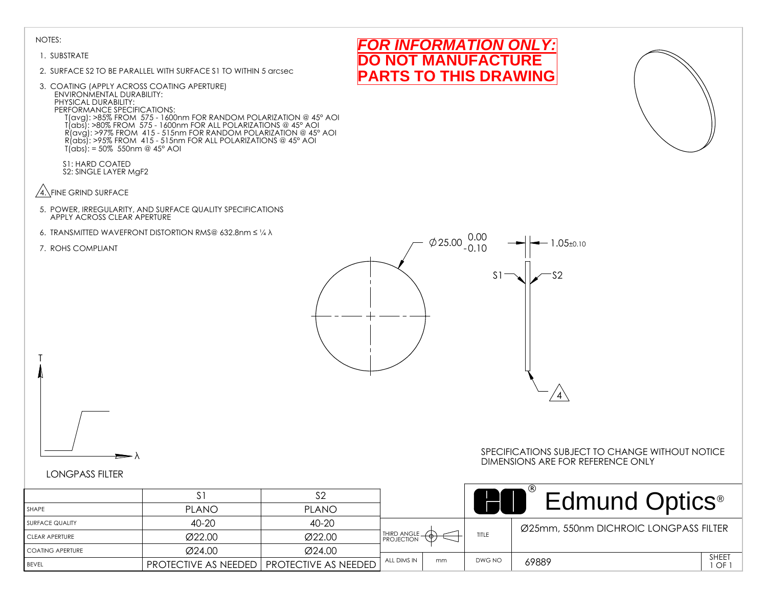#### 1. SUBSTRATE

- 2. SURFACE S2 TO BE PARALLEL WITH SURFACE S1 TO WITHIN 5 arcsec
- 3. COATING (APPLY ACROSS COATING APERTURE) ENVIRONMENTAL DURABILITY: PHYSICAL DURABILITY: PERFORMANCE SPECIFICATIONS: T(avg): >85% FROM 575 - 1600nm FOR RANDOM POLARIZATION @ 45° AOI T(abs): >80% FROM 575 - 1600nm FOR ALL POLARIZATIONS @ 45° AOI R(avg): >97% FROM 415 - 515nm FOR RANDOM POLARIZATION @ 45° AOI R(abs): >95% FROM 415 - 515nm FOR ALL POLARIZATIONS @ 45° AOI T(abs): = 50% 550nm @ 45° AOI
	- S1: HARD COATED S2: SINGLE LAYER MgF2
- $\sqrt{4}$ . FINE GRIND SURFACE
- 5. POWER, IRREGULARITY, AND SURFACE QUALITY SPECIFICATIONS APPLY ACROSS CLEAR APERTURE
- 6. TRANSMITTED WAVEFRONT DISTORTION RMS@ 632.8nm ≤ ¼ λ
- 7. ROHS COMPLIANT

T



*FOR INFORMATION ONLY:* **NOT MANUFACTURE PARTS TO THIS DRAWING**

# LONGPASS FILTER

λ

### SPECIFICATIONS SUBJECT TO CHANGE WITHOUT NOTICE DIMENSIONS ARE FOR REFERENCE ONLY

 $\sqrt{4}$ 

|                    |              |                                             |               |    |        | Edmund Optics <sup>®</sup>            |                    |
|--------------------|--------------|---------------------------------------------|---------------|----|--------|---------------------------------------|--------------------|
| l SHAPE            | <b>PLANO</b> | <b>PLANO</b>                                |               |    |        |                                       |                    |
| I SURFACE QUALITY  | 40-20        | 40-20                                       |               |    |        | Ø25mm, 550nm DICHROIC LONGPASS FILTER |                    |
| I CLEAR APERTURE   | Ø22.00       | Ø22.00                                      | THIRD ANGLE - |    | TITLE  |                                       |                    |
| I COATING APERTURE | Ø24.00       | Ø24.00                                      |               |    |        |                                       |                    |
| <b>BEVEL</b>       |              | PROTECTIVE AS NEEDED   PROTECTIVE AS NEEDED | ALL DIMS IN   | mm | DWG NC | 69889                                 | <b>SHEET</b><br>OF |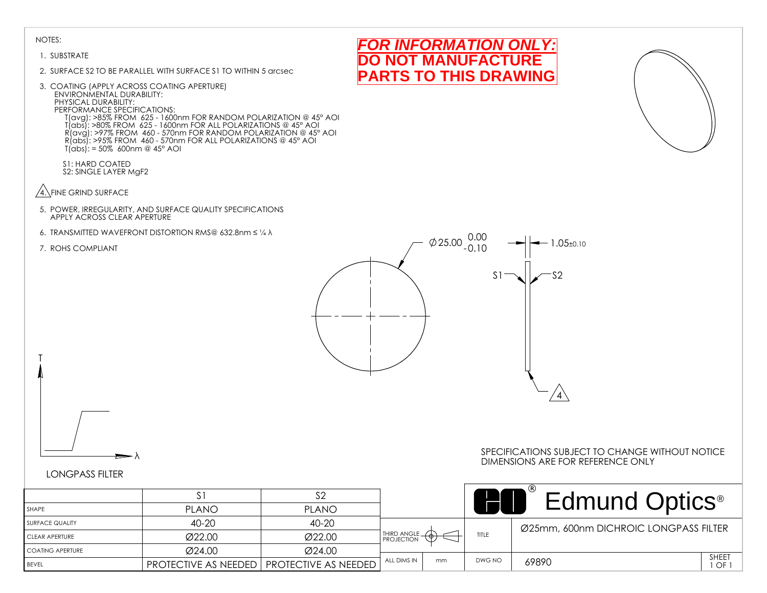#### 1. SUBSTRATE

- 2. SURFACE S2 TO BE PARALLEL WITH SURFACE S1 TO WITHIN 5 arcsec
- 3. COATING (APPLY ACROSS COATING APERTURE) ENVIRONMENTAL DURABILITY: PHYSICAL DURABILITY: PERFORMANCE SPECIFICATIONS: T(avg): >85% FROM 625 - 1600nm FOR RANDOM POLARIZATION @ 45° AOI T(abs): >80% FROM 625 - 1600nm FOR ALL POLARIZATIONS @ 45° AOI R(avg): >97% FROM 460 - 570nm FOR RANDOM POLARIZATION @ 45° AOI R(abs): >95% FROM 460 - 570nm FOR ALL POLARIZATIONS @ 45° AOI T(abs): = 50% 600nm @ 45° AOI

S1: HARD COATED S2: SINGLE LAYER MgF2

- $\sqrt{4}$ . FINE GRIND SURFACE
- 5. POWER, IRREGULARITY, AND SURFACE QUALITY SPECIFICATIONS APPLY ACROSS CLEAR APERTURE
- 6. TRANSMITTED WAVEFRONT DISTORTION RMS@ 632.8nm ≤ ¼ λ
- 7. ROHS COMPLIANT

T



## LONGPASS FILTER

λ

|                         |                                                    | ے ت          |                            |    |        | <b>Edmund Optics</b> <sup>®</sup>     |                    |
|-------------------------|----------------------------------------------------|--------------|----------------------------|----|--------|---------------------------------------|--------------------|
| SHAPE                   | <b>PLANO</b>                                       | <b>PLANO</b> |                            |    |        |                                       |                    |
| <b>SURFACE QUALITY</b>  | 40-20                                              | 40-20        |                            |    |        | Ø25mm, 600nm DICHROIC LONGPASS FILTER |                    |
| <b>CLEAR APERTURE</b>   | Ø22.00                                             | Ø22.00       | THIRD ANGLE - <sup>1</sup> |    | TITLE  |                                       |                    |
| <b>COATING APERTURE</b> | Ø24.00                                             | Ø24.00       |                            |    |        |                                       |                    |
| BEVEL                   | <b>PROTECTIVE AS NEEDED   PROTECTIVE AS NEEDED</b> |              | ALL DIMS IN                | mm | DWG NO | 69890                                 | <b>SHEET</b><br>OF |



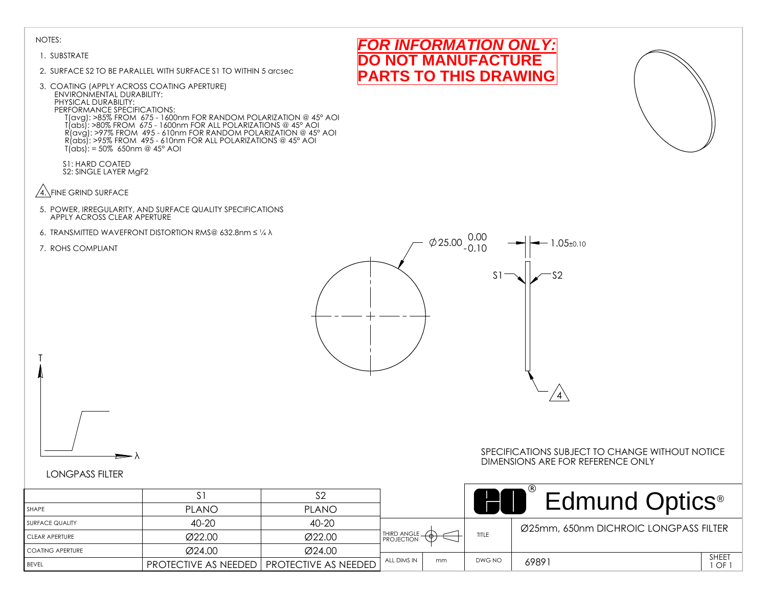#### 1. SUBSTRATE

- 2. SURFACE S2 TO BE PARALLEL WITH SURFACE S1 TO WITHIN 5 arcsec
- 3. COATING (APPLY ACROSS COATING APERTURE) ENVIRONMENTAL DURABILITY: PHYSICAL DURABILITY: PERFORMANCE SPECIFICATIONS: T(avg): >85% FROM 675 - 1600nm FOR RANDOM POLARIZATION @ 45° AOI T(abs): >80% FROM 675 - 1600nm FOR ALL POLARIZATIONS @ 45° AOI R(avg): >97% FROM 495 - 610nm FOR RANDOM POLARIZATION @ 45° AOI R(abs): >95% FROM 495 - 610nm FOR ALL POLARIZATIONS @ 45° AOI T(abs): = 50% 650nm @ 45° AOI
	- S1: HARD COATED S2: SINGLE LAYER MgF2
- $\sqrt{4}$ . FINE GRIND SURFACE
- 5. POWER, IRREGULARITY, AND SURFACE QUALITY SPECIFICATIONS APPLY ACROSS CLEAR APERTURE
- 6. TRANSMITTED WAVEFRONT DISTORTION RMS@ 632.8nm ≤ ¼ λ
- 7. ROHS COMPLIANT

T



*FOR INFORMATION ONLY:* **NOT MANUFACTURE PARTS TO THIS DRAWING**

# LONGPASS FILTER

λ

|                         |                                                    |              |               |    |        | Edmund Optics <sup>®</sup>            |
|-------------------------|----------------------------------------------------|--------------|---------------|----|--------|---------------------------------------|
| SHAPE                   | <b>PLANO</b>                                       | <b>PLANO</b> |               |    |        |                                       |
| SURFACE QUALITY         | 40-20                                              | 40-20        |               |    |        | Ø25mm, 650nm DICHROIC LONGPASS FILTER |
| <b>CLEAR APERTURE</b>   | Ø22.00                                             | Ø22.00       | THIRD ANGLE - |    | TITLE  |                                       |
| <b>COATING APERTURE</b> | Ø24.00                                             | Ø24.00       |               |    |        |                                       |
| <b>BEVEL</b>            | <b>PROTECTIVE AS NEEDED   PROTECTIVE AS NEEDED</b> |              | ALL DIMS IN   | mm | DWG NO | SHEET<br>69891<br>OF                  |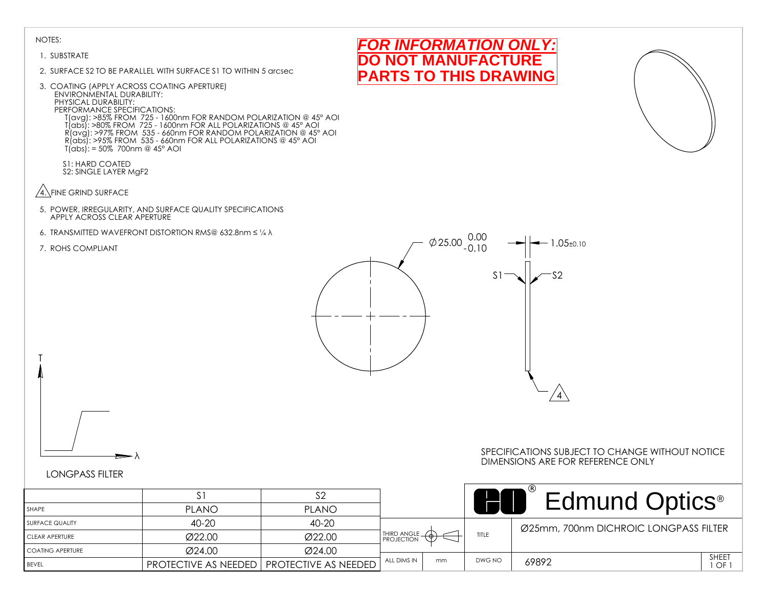#### 1. SUBSTRATE

- 2. SURFACE S2 TO BE PARALLEL WITH SURFACE S1 TO WITHIN 5 arcsec
- 3. COATING (APPLY ACROSS COATING APERTURE) ENVIRONMENTAL DURABILITY: PHYSICAL DURABILITY: PERFORMANCE SPECIFICATIONS: T(avg): >85% FROM 725 - 1600nm FOR RANDOM POLARIZATION @ 45° AOI T(abs): >80% FROM 725 - 1600nm FOR ALL POLARIZATIONS @ 45° AOI R(avg): >97% FROM 535 - 660nm FOR RANDOM POLARIZATION @ 45° AOI R(abs): >95% FROM 535 - 660nm FOR ALL POLARIZATIONS @ 45° AOI T(abs): = 50% 700nm @ 45° AOI
	- S1: HARD COATED S2: SINGLE LAYER MgF2
- $\sqrt{4}$ . FINE GRIND SURFACE
- 5. POWER, IRREGULARITY, AND SURFACE QUALITY SPECIFICATIONS APPLY ACROSS CLEAR APERTURE
- 6. TRANSMITTED WAVEFRONT DISTORTION RMS@ 632.8nm ≤ ¼ λ
- 7. ROHS COMPLIANT

T



*FOR INFORMATION ONLY:* **NOT MANUFACTURE PARTS TO THIS DRAWING**

### LONGPASS FILTER

λ

|                    | S.                          |                      |               |    |        | Edmund Optics <sup>®</sup>            |
|--------------------|-----------------------------|----------------------|---------------|----|--------|---------------------------------------|
| SHAPE              | <b>PLANO</b>                | <b>PLANO</b>         |               |    |        |                                       |
| I SURFACE QUALITY  | $40 - 20$                   | 40-20                |               |    |        | Ø25mm, 700nm DICHROIC LONGPASS FILTER |
| CLEAR APERTURE     | Ø22.00                      | Ø22.00               | THIRD ANGLE - |    | TITLE  |                                       |
| I COATING APERTURE | Ø24.00                      | Ø24.00               |               |    |        |                                       |
| <b>BEVEL</b>       | <b>PROTECTIVE AS NEEDED</b> | PROTECTIVE AS NEEDED | ALL DIMS IN   | mm | DWG NO | SHEET<br>69892<br>$1$ OF              |